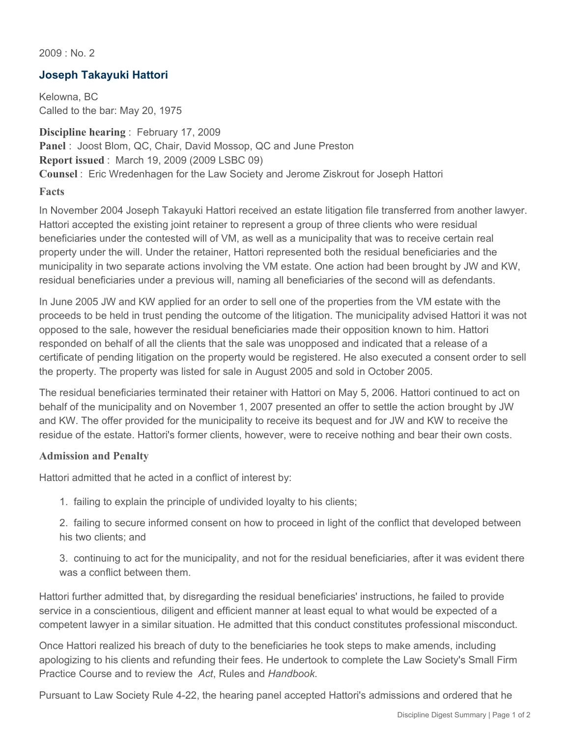2009 : No. 2

## **Joseph Takayuki Hattori**

Kelowna, BC Called to the bar: May 20, 1975

**Discipline hearing** : February 17, 2009 **Panel** : Joost Blom, QC, Chair, David Mossop, QC and June Preston **Report issued** : March 19, 2009 (2009 LSBC 09) **Counsel** : Eric Wredenhagen for the Law Society and Jerome Ziskrout for Joseph Hattori **Facts**

In November 2004 Joseph Takayuki Hattori received an estate litigation file transferred from another lawyer. Hattori accepted the existing joint retainer to represent a group of three clients who were residual beneficiaries under the contested will of VM, as well as a municipality that was to receive certain real property under the will. Under the retainer, Hattori represented both the residual beneficiaries and the municipality in two separate actions involving the VM estate. One action had been brought by JW and KW, residual beneficiaries under a previous will, naming all beneficiaries of the second will as defendants.

In June 2005 JW and KW applied for an order to sell one of the properties from the VM estate with the proceeds to be held in trust pending the outcome of the litigation. The municipality advised Hattori it was not opposed to the sale, however the residual beneficiaries made their opposition known to him. Hattori responded on behalf of all the clients that the sale was unopposed and indicated that a release of a certificate of pending litigation on the property would be registered. He also executed a consent order to sell the property. The property was listed for sale in August 2005 and sold in October 2005.

The residual beneficiaries terminated their retainer with Hattori on May 5, 2006. Hattori continued to act on behalf of the municipality and on November 1, 2007 presented an offer to settle the action brought by JW and KW. The offer provided for the municipality to receive its bequest and for JW and KW to receive the residue of the estate. Hattori's former clients, however, were to receive nothing and bear their own costs.

## **Admission and Penalty**

Hattori admitted that he acted in a conflict of interest by:

1. failing to explain the principle of undivided loyalty to his clients;

2. failing to secure informed consent on how to proceed in light of the conflict that developed between his two clients; and

3. continuing to act for the municipality, and not for the residual beneficiaries, after it was evident there was a conflict between them.

Hattori further admitted that, by disregarding the residual beneficiaries' instructions, he failed to provide service in a conscientious, diligent and efficient manner at least equal to what would be expected of a competent lawyer in a similar situation. He admitted that this conduct constitutes professional misconduct.

Once Hattori realized his breach of duty to the beneficiaries he took steps to make amends, including apologizing to his clients and refunding their fees. He undertook to complete the Law Society's Small Firm Practice Course and to review the *Act*, Rules and *Handbook*.

Pursuant to Law Society Rule 4-22, the hearing panel accepted Hattori's admissions and ordered that he